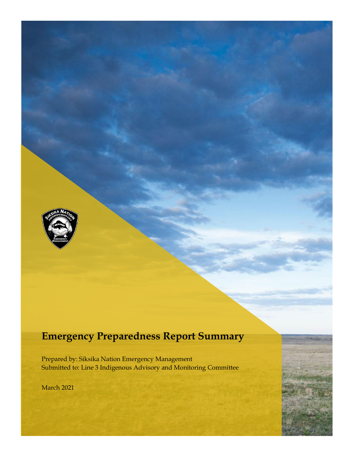

# **Emergency Preparedness Report Summary**

Prepared by: Siksika Nation Emergency Management Submitted to: Line 3 Indigenous Advisory and Monitoring Committee

March 2021

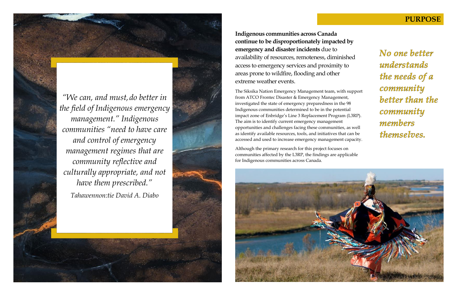**Indigenous communities across Canada continue to be disproportionately impacted by emergency and disaster incidents** due to availability of resources, remoteness, diminished access to emergency services and proximity to areas prone to wildfire, flooding and other extreme weather events .

The Siksika Nation Emergency Management team, with support from ATCO Frontec Disaster & Emergency Management, investigated the state of emergency preparedness in the 98 Indigenous communities determined to be in the potential impact zone of Enbridge's Line 3 Replacement Program (L3RP). The aim is to identify current emergency management opportunities and challenges facing these communities, as well as identify available resources, tools, and initiatives that can be accessed and used to increase emergency management capacity.

Although the primary research for this project focuses on communities affected by the L3RP, the findings are applicable for Indigenous communities across Canada.



#### **PURPOS**

No one better understands the needs of a community better than the community members themselves.

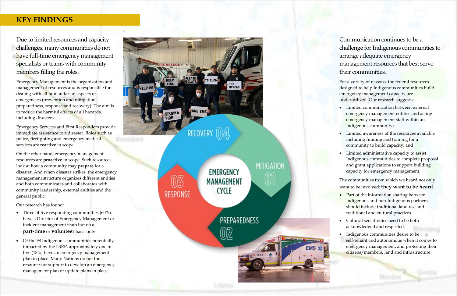,

## **KEY FINDINGS**

Due to limited resources and capacity challenges , many communities do not <mark>h</mark>ave full-time emergency management specialists or teams with community members filling the roles.

Emergency Management is the organization and management of resources and is responsible for dealing with all humanitarian aspects of emergencies (prevention and mitigation, preparedness, response and recovery). The aim is to reduce the harmful effects of all hazards, including disasters.

Emergency Services and First Responders provide immediate assistance to a disaster. Roles such as police, firefighting and emergency medical services are **reactive** in scope.

- Three of five responding communities (60%) have a Director of Emergency Management or incident management team but on a **part -time** or **volunteer** basis only.
- Of the 98 Indigenous communities potentially impacted by the L3RP, approximately one in five (18%) have an emergency management plan in place. Many Nations do not the resources or support to develop an emergency management plan or update plan s in place.



On the other hand, emergency management resources are **proactive** in scope. Such resources look at how a community may **prepare** for a disaster. And when disaster strikes, the emergency management structure organizes different entities and both communicates and collaborates with community leadership, external entities and the general public.

Our research has found:

- Part of the information sharing between Indigenous and non -Indigenous partners should include traditional land use and traditional and cultural practices.
- Cultural sensitivities need to be both acknowledged and respected .
- Indigenous communities desire to be self -reliant and autonomous when it comes to emergency management, and protecting their citizens/members, land and infrastructure.

Communication continues to be a challenge for Indigenous communities to arrange adequate emergency management resources that best serve their communities.

For a variety of reasons, the federal resources designed to help Indigenous communities build emergency management capacity are underutilized. Our research suggests :

- Limited communication between external emergency management entities and acting emergency management staff within an Indigenous community;
- Limited awareness of the resources available including funding and training for a community to build capacity; and
- Limited administrative capacity to assist Indigenous communities to complete proposal and grant applications to support building capacity for emergency management.

The communities from which we heard not only want to be involved : **they want to be heard** .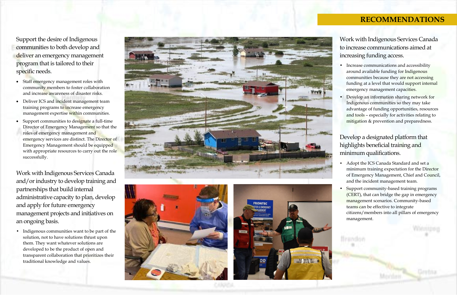Work with Indigenous Services Canada to increase communications aimed at increasing funding access.

- Increase communications and accessibility around available funding for Indigenous communities because they are not accessing funding at a level that would support internal emergency management capacities.
- Develop an information sharing network for Indigenous communities so they may take advantage of funding opportunities, resources and tools – especially for activities relating to mitigation & prevention and preparedness.

Support the desire of Indigenous communities to both develop and deliver an emergency management program that is tailored to their specific needs.

### Develop a designated platform that highlights beneficial training and minimum qualifications.

- Adopt the ICS Canada Standard and set a minimum training expectation for the Director of Emergency Management, Chief and Council, and the incident management team.
- Support community-based training programs (CERT), that can bridge the gap in emergency management scenarios. Community -based teams can be effective to integrate citizens/members into all pillars of emergency management.
- Staff emergency management roles with community members to foster collaboration and increase awareness of disaster risks.
- Deliver ICS and incident management team training programs to increase emergency management expertise within communities.
- Support communities to designate a full-time Director of Emergency Management so that the roles of emergency management and emergency services are distinct. The Director of Emergency Management should be equipped with appropriate resources to carry out the role successfully.

Work with Indigenous Services Canada and/or industry to develop training and partnerships that build internal administrative capacity to plan, develop and apply for future emergency management projects and initiatives on an ongoing basis.

• Indigenous communities want to be part of the solution, not to have solutions thrust upon them. They want whatever solutions are developed to be the product of open and transparent collaboration that prioritizes their traditional knowledge and values.







# **RECOMMENDATIONS**